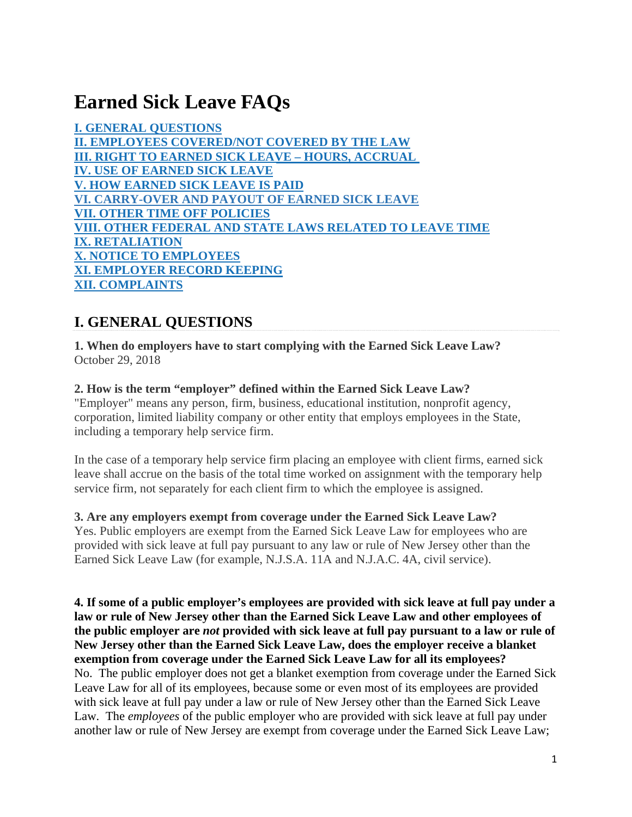# **Earned Sick Leave FAQs**

**I. GENERAL QUESTIONS II. EMPLOYEES COVERED/NOT COVERED BY THE LAW III. RIGHT TO EARNED SICK LEAVE – HOURS, ACCRUAL IV. USE OF EARNED SICK LEAVE V. HOW EARNED SICK LEAVE IS PAID VI. CARRY-OVER AND PAYOUT OF EARNED SICK LEAVE VII. OTHER TIME OFF POLICIES VIII. OTHER FEDERAL AND STATE LAWS RELATED TO LEAVE TIME IX. RETALIATION X. NOTICE TO EMPLOYEES XI. EMPLOYER RECORD KEEPING XII. COMPLAINTS**

# **I. GENERAL QUESTIONS**

**1. When do employers have to start complying with the Earned Sick Leave Law?** October 29, 2018

# **2. How is the term "employer" defined within the Earned Sick Leave Law?**

"Employer" means any person, firm, business, educational institution, nonprofit agency, corporation, limited liability company or other entity that employs employees in the State, including a temporary help service firm.

In the case of a temporary help service firm placing an employee with client firms, earned sick leave shall accrue on the basis of the total time worked on assignment with the temporary help service firm, not separately for each client firm to which the employee is assigned.

# **3. Are any employers exempt from coverage under the Earned Sick Leave Law?**

Yes. Public employers are exempt from the Earned Sick Leave Law for employees who are provided with sick leave at full pay pursuant to any law or rule of New Jersey other than the Earned Sick Leave Law (for example, N.J.S.A. 11A and N.J.A.C. 4A, civil service).

**4. If some of a public employer's employees are provided with sick leave at full pay under a law or rule of New Jersey other than the Earned Sick Leave Law and other employees of the public employer are** *not* **provided with sick leave at full pay pursuant to a law or rule of New Jersey other than the Earned Sick Leave Law, does the employer receive a blanket exemption from coverage under the Earned Sick Leave Law for all its employees?**  No. The public employer does not get a blanket exemption from coverage under the Earned Sick Leave Law for all of its employees, because some or even most of its employees are provided with sick leave at full pay under a law or rule of New Jersey other than the Earned Sick Leave Law. The *employees* of the public employer who are provided with sick leave at full pay under another law or rule of New Jersey are exempt from coverage under the Earned Sick Leave Law;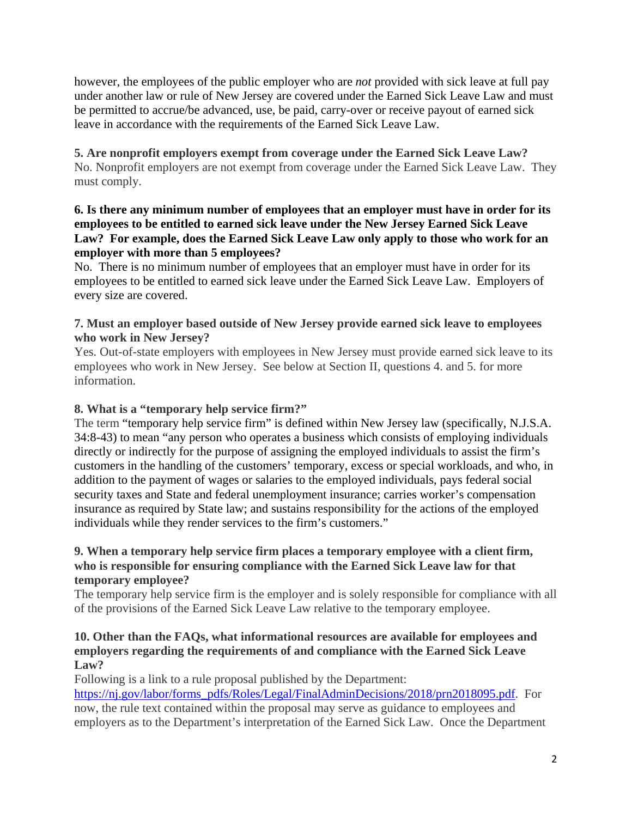however, the employees of the public employer who are *not* provided with sick leave at full pay under another law or rule of New Jersey are covered under the Earned Sick Leave Law and must be permitted to accrue/be advanced, use, be paid, carry-over or receive payout of earned sick leave in accordance with the requirements of the Earned Sick Leave Law.

**5. Are nonprofit employers exempt from coverage under the Earned Sick Leave Law?** No. Nonprofit employers are not exempt from coverage under the Earned Sick Leave Law. They must comply.

#### **6. Is there any minimum number of employees that an employer must have in order for its employees to be entitled to earned sick leave under the New Jersey Earned Sick Leave Law? For example, does the Earned Sick Leave Law only apply to those who work for an employer with more than 5 employees?**

No. There is no minimum number of employees that an employer must have in order for its employees to be entitled to earned sick leave under the Earned Sick Leave Law. Employers of every size are covered.

# **7. Must an employer based outside of New Jersey provide earned sick leave to employees who work in New Jersey?**

Yes. Out-of-state employers with employees in New Jersey must provide earned sick leave to its employees who work in New Jersey. See below at Section II, questions 4. and 5. for more information.

# **8. What is a "temporary help service firm?"**

The term "temporary help service firm" is defined within New Jersey law (specifically, N.J.S.A. 34:8-43) to mean "any person who operates a business which consists of employing individuals directly or indirectly for the purpose of assigning the employed individuals to assist the firm's customers in the handling of the customers' temporary, excess or special workloads, and who, in addition to the payment of wages or salaries to the employed individuals, pays federal social security taxes and State and federal unemployment insurance; carries worker's compensation insurance as required by State law; and sustains responsibility for the actions of the employed individuals while they render services to the firm's customers."

#### **9. When a temporary help service firm places a temporary employee with a client firm, who is responsible for ensuring compliance with the Earned Sick Leave law for that temporary employee?**

The temporary help service firm is the employer and is solely responsible for compliance with all of the provisions of the Earned Sick Leave Law relative to the temporary employee.

# **10. Other than the FAQs, what informational resources are available for employees and employers regarding the requirements of and compliance with the Earned Sick Leave Law?**

Following is a link to a rule proposal published by the Department:

https://nj.gov/labor/forms\_pdfs/Roles/Legal/FinalAdminDecisions/2018/prn2018095.pdf. For now, the rule text contained within the proposal may serve as guidance to employees and employers as to the Department's interpretation of the Earned Sick Law. Once the Department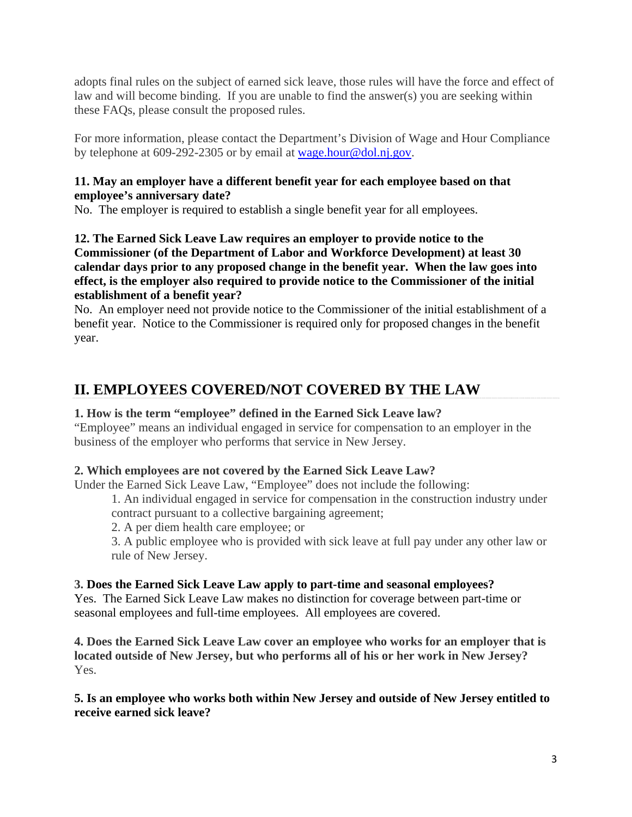adopts final rules on the subject of earned sick leave, those rules will have the force and effect of law and will become binding. If you are unable to find the answer(s) you are seeking within these FAQs, please consult the proposed rules.

For more information, please contact the Department's Division of Wage and Hour Compliance by telephone at 609-292-2305 or by email at wage.hour@dol.nj.gov.

#### **11. May an employer have a different benefit year for each employee based on that employee's anniversary date?**

No. The employer is required to establish a single benefit year for all employees.

**12. The Earned Sick Leave Law requires an employer to provide notice to the Commissioner (of the Department of Labor and Workforce Development) at least 30 calendar days prior to any proposed change in the benefit year. When the law goes into effect, is the employer also required to provide notice to the Commissioner of the initial establishment of a benefit year?** 

No. An employer need not provide notice to the Commissioner of the initial establishment of a benefit year. Notice to the Commissioner is required only for proposed changes in the benefit year.

# **II. EMPLOYEES COVERED/NOT COVERED BY THE LAW**

# **1. How is the term "employee" defined in the Earned Sick Leave law?**

"Employee" means an individual engaged in service for compensation to an employer in the business of the employer who performs that service in New Jersey.

# **2. Which employees are not covered by the Earned Sick Leave Law?**

Under the Earned Sick Leave Law, "Employee" does not include the following:

1. An individual engaged in service for compensation in the construction industry under contract pursuant to a collective bargaining agreement;

2. A per diem health care employee; or

3. A public employee who is provided with sick leave at full pay under any other law or rule of New Jersey.

# **3. Does the Earned Sick Leave Law apply to part-time and seasonal employees?**

Yes. The Earned Sick Leave Law makes no distinction for coverage between part-time or seasonal employees and full-time employees. All employees are covered.

**4. Does the Earned Sick Leave Law cover an employee who works for an employer that is located outside of New Jersey, but who performs all of his or her work in New Jersey?** Yes.

**5. Is an employee who works both within New Jersey and outside of New Jersey entitled to receive earned sick leave?**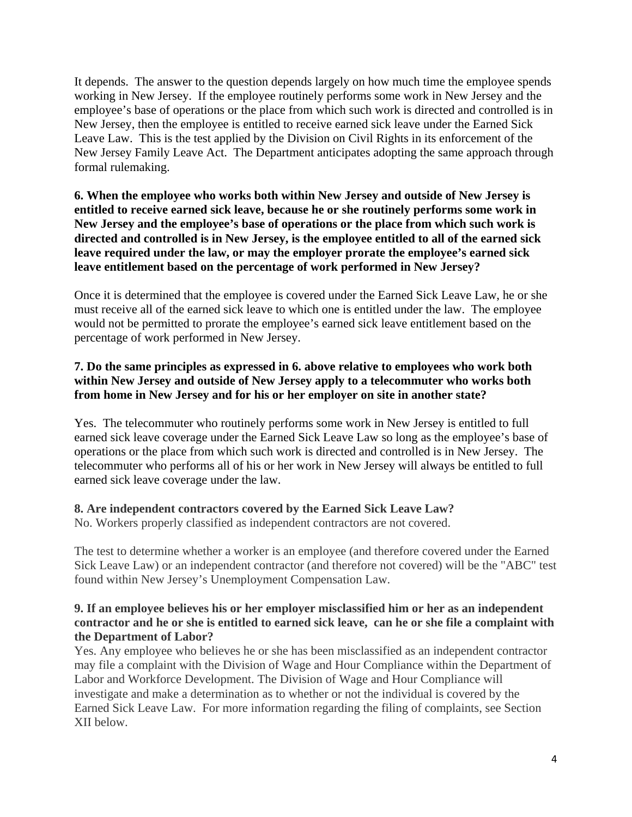It depends. The answer to the question depends largely on how much time the employee spends working in New Jersey. If the employee routinely performs some work in New Jersey and the employee's base of operations or the place from which such work is directed and controlled is in New Jersey, then the employee is entitled to receive earned sick leave under the Earned Sick Leave Law. This is the test applied by the Division on Civil Rights in its enforcement of the New Jersey Family Leave Act. The Department anticipates adopting the same approach through formal rulemaking.

# **6. When the employee who works both within New Jersey and outside of New Jersey is entitled to receive earned sick leave, because he or she routinely performs some work in New Jersey and the employee's base of operations or the place from which such work is directed and controlled is in New Jersey, is the employee entitled to all of the earned sick leave required under the law, or may the employer prorate the employee's earned sick leave entitlement based on the percentage of work performed in New Jersey?**

Once it is determined that the employee is covered under the Earned Sick Leave Law, he or she must receive all of the earned sick leave to which one is entitled under the law. The employee would not be permitted to prorate the employee's earned sick leave entitlement based on the percentage of work performed in New Jersey.

# **7. Do the same principles as expressed in 6. above relative to employees who work both within New Jersey and outside of New Jersey apply to a telecommuter who works both from home in New Jersey and for his or her employer on site in another state?**

Yes. The telecommuter who routinely performs some work in New Jersey is entitled to full earned sick leave coverage under the Earned Sick Leave Law so long as the employee's base of operations or the place from which such work is directed and controlled is in New Jersey. The telecommuter who performs all of his or her work in New Jersey will always be entitled to full earned sick leave coverage under the law.

# **8. Are independent contractors covered by the Earned Sick Leave Law?**

No. Workers properly classified as independent contractors are not covered.

The test to determine whether a worker is an employee (and therefore covered under the Earned Sick Leave Law) or an independent contractor (and therefore not covered) will be the "ABC" test found within New Jersey's Unemployment Compensation Law.

#### **9. If an employee believes his or her employer misclassified him or her as an independent contractor and he or she is entitled to earned sick leave, can he or she file a complaint with the Department of Labor?**

Yes. Any employee who believes he or she has been misclassified as an independent contractor may file a complaint with the Division of Wage and Hour Compliance within the Department of Labor and Workforce Development. The Division of Wage and Hour Compliance will investigate and make a determination as to whether or not the individual is covered by the Earned Sick Leave Law. For more information regarding the filing of complaints, see Section XII below.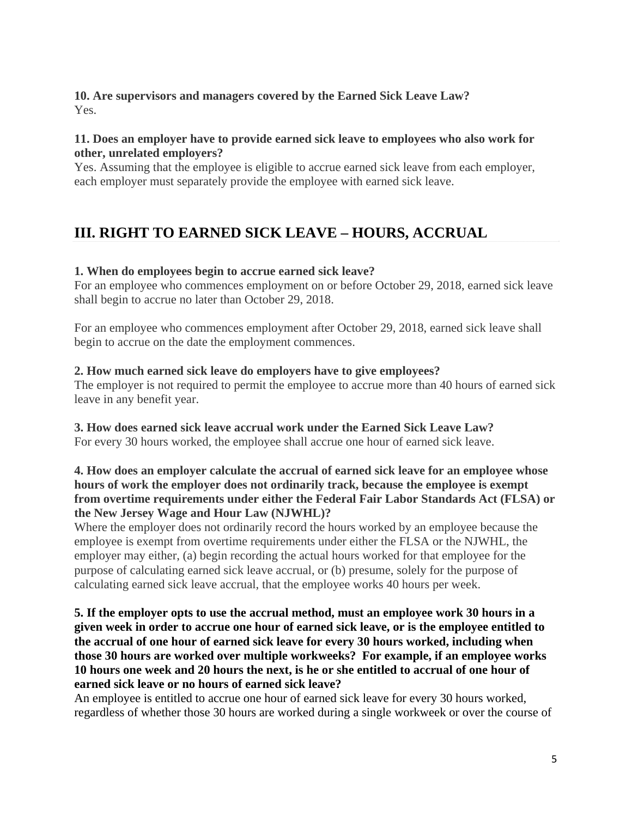#### **10. Are supervisors and managers covered by the Earned Sick Leave Law?** Yes.

# **11. Does an employer have to provide earned sick leave to employees who also work for other, unrelated employers?**

Yes. Assuming that the employee is eligible to accrue earned sick leave from each employer, each employer must separately provide the employee with earned sick leave.

# **III. RIGHT TO EARNED SICK LEAVE – HOURS, ACCRUAL**

# **1. When do employees begin to accrue earned sick leave?**

For an employee who commences employment on or before October 29, 2018, earned sick leave shall begin to accrue no later than October 29, 2018.

For an employee who commences employment after October 29, 2018, earned sick leave shall begin to accrue on the date the employment commences.

#### **2. How much earned sick leave do employers have to give employees?**

The employer is not required to permit the employee to accrue more than 40 hours of earned sick leave in any benefit year.

# **3. How does earned sick leave accrual work under the Earned Sick Leave Law?**

For every 30 hours worked, the employee shall accrue one hour of earned sick leave.

#### **4. How does an employer calculate the accrual of earned sick leave for an employee whose hours of work the employer does not ordinarily track, because the employee is exempt from overtime requirements under either the Federal Fair Labor Standards Act (FLSA) or the New Jersey Wage and Hour Law (NJWHL)?**

Where the employer does not ordinarily record the hours worked by an employee because the employee is exempt from overtime requirements under either the FLSA or the NJWHL, the employer may either, (a) begin recording the actual hours worked for that employee for the purpose of calculating earned sick leave accrual, or (b) presume, solely for the purpose of calculating earned sick leave accrual, that the employee works 40 hours per week.

#### **5. If the employer opts to use the accrual method, must an employee work 30 hours in a given week in order to accrue one hour of earned sick leave, or is the employee entitled to the accrual of one hour of earned sick leave for every 30 hours worked, including when those 30 hours are worked over multiple workweeks? For example, if an employee works 10 hours one week and 20 hours the next, is he or she entitled to accrual of one hour of earned sick leave or no hours of earned sick leave?**

An employee is entitled to accrue one hour of earned sick leave for every 30 hours worked, regardless of whether those 30 hours are worked during a single workweek or over the course of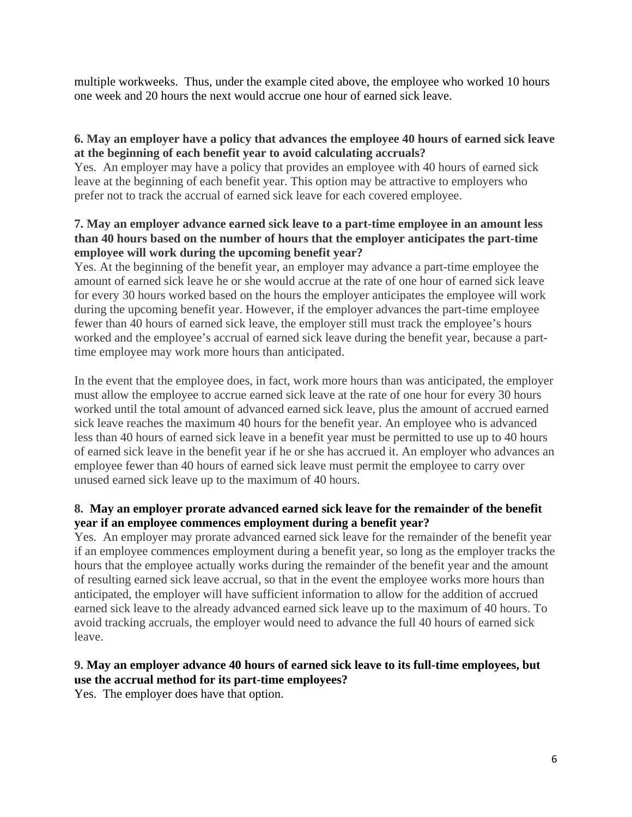multiple workweeks. Thus, under the example cited above, the employee who worked 10 hours one week and 20 hours the next would accrue one hour of earned sick leave.

# **6. May an employer have a policy that advances the employee 40 hours of earned sick leave at the beginning of each benefit year to avoid calculating accruals?**

Yes. An employer may have a policy that provides an employee with 40 hours of earned sick leave at the beginning of each benefit year. This option may be attractive to employers who prefer not to track the accrual of earned sick leave for each covered employee.

# **7. May an employer advance earned sick leave to a part-time employee in an amount less than 40 hours based on the number of hours that the employer anticipates the part-time employee will work during the upcoming benefit year?**

Yes. At the beginning of the benefit year, an employer may advance a part-time employee the amount of earned sick leave he or she would accrue at the rate of one hour of earned sick leave for every 30 hours worked based on the hours the employer anticipates the employee will work during the upcoming benefit year. However, if the employer advances the part-time employee fewer than 40 hours of earned sick leave, the employer still must track the employee's hours worked and the employee's accrual of earned sick leave during the benefit year, because a parttime employee may work more hours than anticipated.

In the event that the employee does, in fact, work more hours than was anticipated, the employer must allow the employee to accrue earned sick leave at the rate of one hour for every 30 hours worked until the total amount of advanced earned sick leave, plus the amount of accrued earned sick leave reaches the maximum 40 hours for the benefit year. An employee who is advanced less than 40 hours of earned sick leave in a benefit year must be permitted to use up to 40 hours of earned sick leave in the benefit year if he or she has accrued it. An employer who advances an employee fewer than 40 hours of earned sick leave must permit the employee to carry over unused earned sick leave up to the maximum of 40 hours.

# **8. May an employer prorate advanced earned sick leave for the remainder of the benefit year if an employee commences employment during a benefit year?**

Yes. An employer may prorate advanced earned sick leave for the remainder of the benefit year if an employee commences employment during a benefit year, so long as the employer tracks the hours that the employee actually works during the remainder of the benefit year and the amount of resulting earned sick leave accrual, so that in the event the employee works more hours than anticipated, the employer will have sufficient information to allow for the addition of accrued earned sick leave to the already advanced earned sick leave up to the maximum of 40 hours. To avoid tracking accruals, the employer would need to advance the full 40 hours of earned sick leave.

# **9. May an employer advance 40 hours of earned sick leave to its full-time employees, but use the accrual method for its part-time employees?**

Yes. The employer does have that option.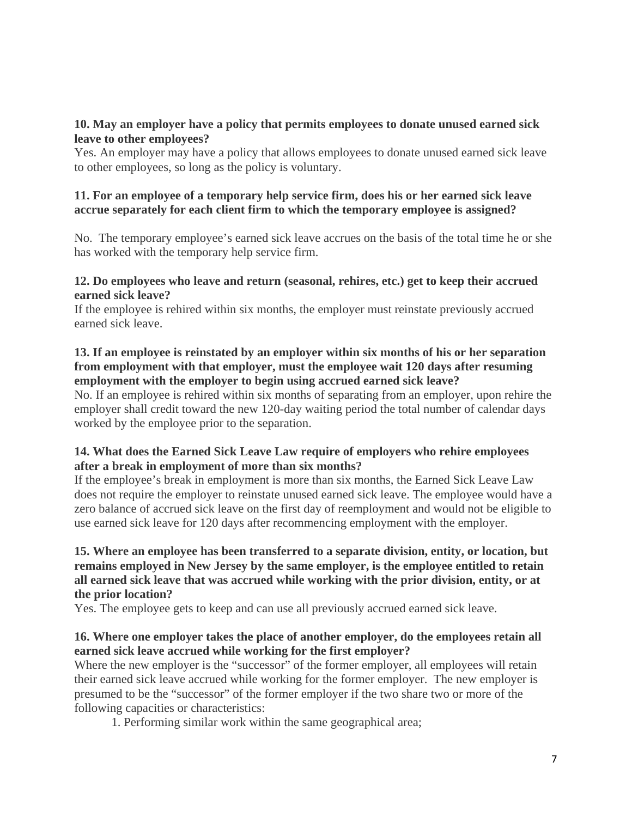#### **10. May an employer have a policy that permits employees to donate unused earned sick leave to other employees?**

Yes. An employer may have a policy that allows employees to donate unused earned sick leave to other employees, so long as the policy is voluntary.

#### **11. For an employee of a temporary help service firm, does his or her earned sick leave accrue separately for each client firm to which the temporary employee is assigned?**

No. The temporary employee's earned sick leave accrues on the basis of the total time he or she has worked with the temporary help service firm.

#### **12. Do employees who leave and return (seasonal, rehires, etc.) get to keep their accrued earned sick leave?**

If the employee is rehired within six months, the employer must reinstate previously accrued earned sick leave.

#### **13. If an employee is reinstated by an employer within six months of his or her separation from employment with that employer, must the employee wait 120 days after resuming employment with the employer to begin using accrued earned sick leave?**

No. If an employee is rehired within six months of separating from an employer, upon rehire the employer shall credit toward the new 120-day waiting period the total number of calendar days worked by the employee prior to the separation.

# **14. What does the Earned Sick Leave Law require of employers who rehire employees after a break in employment of more than six months?**

If the employee's break in employment is more than six months, the Earned Sick Leave Law does not require the employer to reinstate unused earned sick leave. The employee would have a zero balance of accrued sick leave on the first day of reemployment and would not be eligible to use earned sick leave for 120 days after recommencing employment with the employer.

#### **15. Where an employee has been transferred to a separate division, entity, or location, but remains employed in New Jersey by the same employer, is the employee entitled to retain all earned sick leave that was accrued while working with the prior division, entity, or at the prior location?**

Yes. The employee gets to keep and can use all previously accrued earned sick leave.

# **16. Where one employer takes the place of another employer, do the employees retain all earned sick leave accrued while working for the first employer?**

Where the new employer is the "successor" of the former employer, all employees will retain their earned sick leave accrued while working for the former employer. The new employer is presumed to be the "successor" of the former employer if the two share two or more of the following capacities or characteristics:

1. Performing similar work within the same geographical area;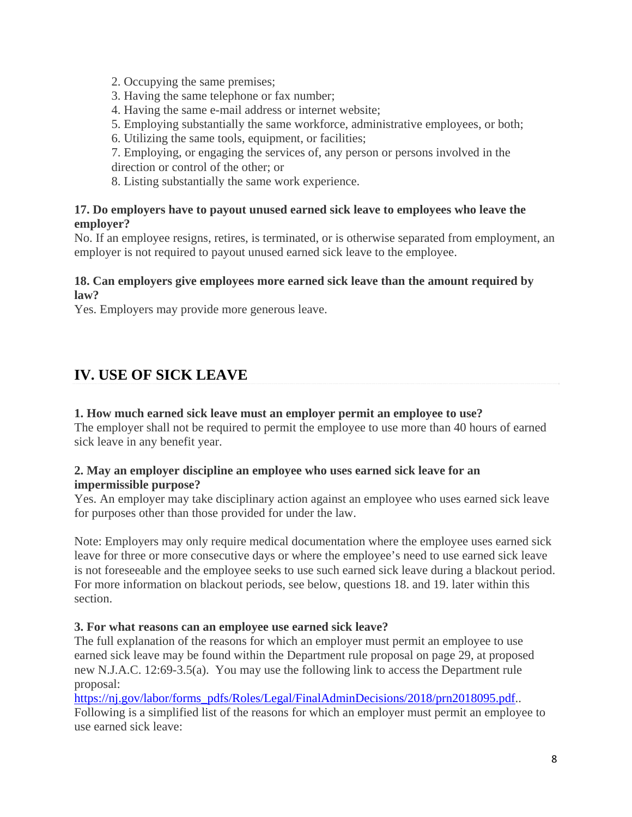2. Occupying the same premises;

3. Having the same telephone or fax number;

4. Having the same e-mail address or internet website;

5. Employing substantially the same workforce, administrative employees, or both;

6. Utilizing the same tools, equipment, or facilities;

7. Employing, or engaging the services of, any person or persons involved in the direction or control of the other; or

8. Listing substantially the same work experience.

# **17. Do employers have to payout unused earned sick leave to employees who leave the employer?**

No. If an employee resigns, retires, is terminated, or is otherwise separated from employment, an employer is not required to payout unused earned sick leave to the employee.

# **18. Can employers give employees more earned sick leave than the amount required by law?**

Yes. Employers may provide more generous leave.

# **IV. USE OF SICK LEAVE**

#### **1. How much earned sick leave must an employer permit an employee to use?**

The employer shall not be required to permit the employee to use more than 40 hours of earned sick leave in any benefit year.

# **2. May an employer discipline an employee who uses earned sick leave for an impermissible purpose?**

Yes. An employer may take disciplinary action against an employee who uses earned sick leave for purposes other than those provided for under the law.

Note: Employers may only require medical documentation where the employee uses earned sick leave for three or more consecutive days or where the employee's need to use earned sick leave is not foreseeable and the employee seeks to use such earned sick leave during a blackout period. For more information on blackout periods, see below, questions 18. and 19. later within this section.

#### **3. For what reasons can an employee use earned sick leave?**

The full explanation of the reasons for which an employer must permit an employee to use earned sick leave may be found within the Department rule proposal on page 29, at proposed new N.J.A.C. 12:69-3.5(a). You may use the following link to access the Department rule proposal:

https://nj.gov/labor/forms\_pdfs/Roles/Legal/FinalAdminDecisions/2018/prn2018095.pdf.. Following is a simplified list of the reasons for which an employer must permit an employee to use earned sick leave: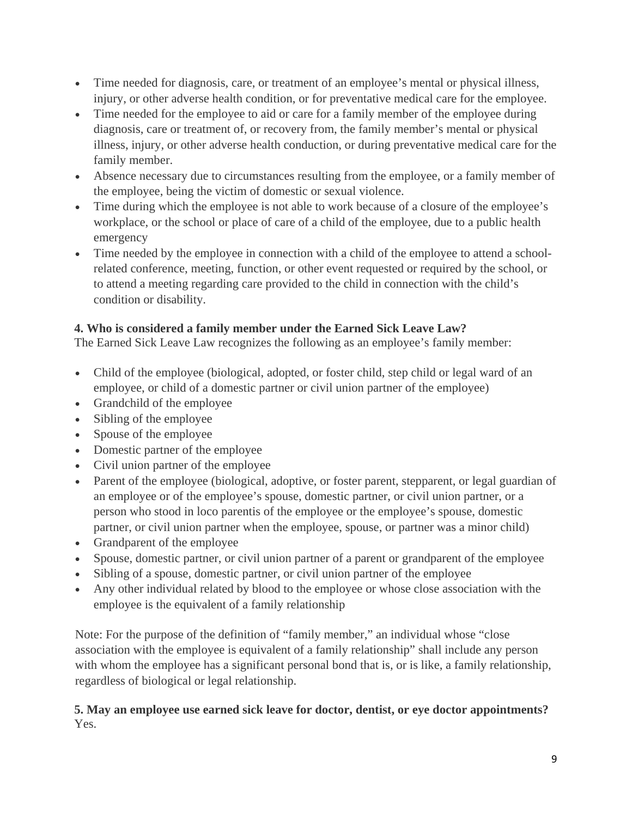- Time needed for diagnosis, care, or treatment of an employee's mental or physical illness, injury, or other adverse health condition, or for preventative medical care for the employee.
- Time needed for the employee to aid or care for a family member of the employee during diagnosis, care or treatment of, or recovery from, the family member's mental or physical illness, injury, or other adverse health conduction, or during preventative medical care for the family member.
- Absence necessary due to circumstances resulting from the employee, or a family member of the employee, being the victim of domestic or sexual violence.
- Time during which the employee is not able to work because of a closure of the employee's workplace, or the school or place of care of a child of the employee, due to a public health emergency
- Time needed by the employee in connection with a child of the employee to attend a schoolrelated conference, meeting, function, or other event requested or required by the school, or to attend a meeting regarding care provided to the child in connection with the child's condition or disability.

# **4. Who is considered a family member under the Earned Sick Leave Law?**

The Earned Sick Leave Law recognizes the following as an employee's family member:

- Child of the employee (biological, adopted, or foster child, step child or legal ward of an employee, or child of a domestic partner or civil union partner of the employee)
- Grandchild of the employee
- Sibling of the employee
- Spouse of the employee
- Domestic partner of the employee
- Civil union partner of the employee
- Parent of the employee (biological, adoptive, or foster parent, stepparent, or legal guardian of an employee or of the employee's spouse, domestic partner, or civil union partner, or a person who stood in loco parentis of the employee or the employee's spouse, domestic partner, or civil union partner when the employee, spouse, or partner was a minor child)
- Grandparent of the employee
- Spouse, domestic partner, or civil union partner of a parent or grandparent of the employee
- Sibling of a spouse, domestic partner, or civil union partner of the employee
- Any other individual related by blood to the employee or whose close association with the employee is the equivalent of a family relationship

Note: For the purpose of the definition of "family member," an individual whose "close association with the employee is equivalent of a family relationship" shall include any person with whom the employee has a significant personal bond that is, or is like, a family relationship, regardless of biological or legal relationship.

# **5. May an employee use earned sick leave for doctor, dentist, or eye doctor appointments?** Yes.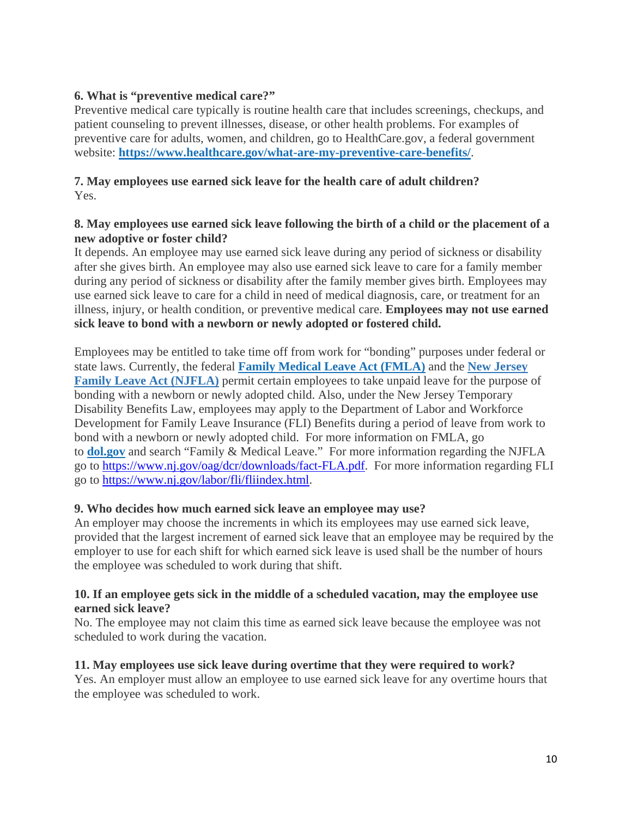# **6. What is "preventive medical care?"**

Preventive medical care typically is routine health care that includes screenings, checkups, and patient counseling to prevent illnesses, disease, or other health problems. For examples of preventive care for adults, women, and children, go to HealthCare.gov, a federal government website: **https://www.healthcare.gov/what-are-my-preventive-care-benefits/**.

# **7. May employees use earned sick leave for the health care of adult children?**  Yes.

#### **8. May employees use earned sick leave following the birth of a child or the placement of a new adoptive or foster child?**

It depends. An employee may use earned sick leave during any period of sickness or disability after she gives birth. An employee may also use earned sick leave to care for a family member during any period of sickness or disability after the family member gives birth. Employees may use earned sick leave to care for a child in need of medical diagnosis, care, or treatment for an illness, injury, or health condition, or preventive medical care. **Employees may not use earned sick leave to bond with a newborn or newly adopted or fostered child.**

Employees may be entitled to take time off from work for "bonding" purposes under federal or state laws. Currently, the federal **Family Medical Leave Act (FMLA)** and the **New Jersey Family Leave Act (NJFLA)** permit certain employees to take unpaid leave for the purpose of bonding with a newborn or newly adopted child. Also, under the New Jersey Temporary Disability Benefits Law, employees may apply to the Department of Labor and Workforce Development for Family Leave Insurance (FLI) Benefits during a period of leave from work to bond with a newborn or newly adopted child. For more information on FMLA, go to **dol.gov** and search "Family & Medical Leave." For more information regarding the NJFLA go to https://www.nj.gov/oag/dcr/downloads/fact-FLA.pdf. For more information regarding FLI go to https://www.nj.gov/labor/fli/fliindex.html.

# **9. Who decides how much earned sick leave an employee may use?**

An employer may choose the increments in which its employees may use earned sick leave, provided that the largest increment of earned sick leave that an employee may be required by the employer to use for each shift for which earned sick leave is used shall be the number of hours the employee was scheduled to work during that shift.

#### **10. If an employee gets sick in the middle of a scheduled vacation, may the employee use earned sick leave?**

No. The employee may not claim this time as earned sick leave because the employee was not scheduled to work during the vacation.

# **11. May employees use sick leave during overtime that they were required to work?**

Yes. An employer must allow an employee to use earned sick leave for any overtime hours that the employee was scheduled to work.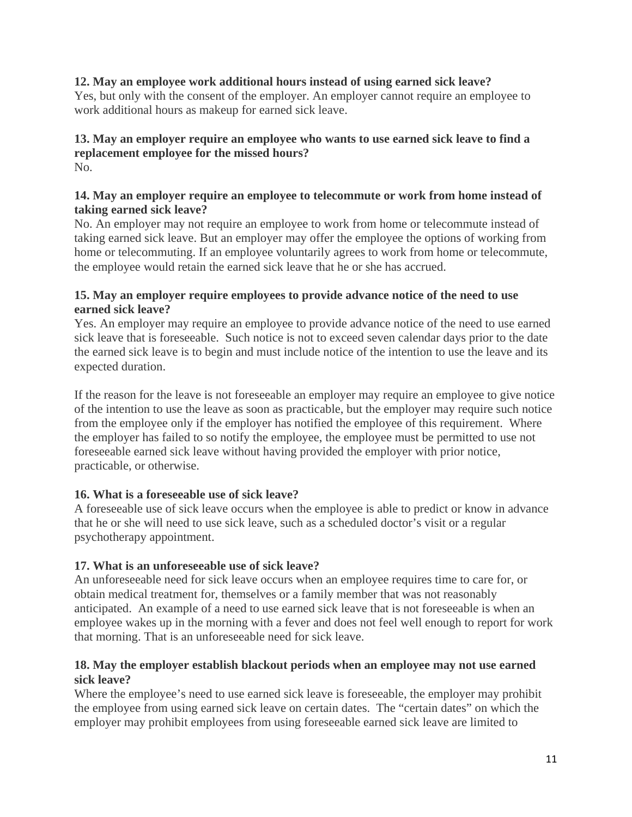# **12. May an employee work additional hours instead of using earned sick leave?**

Yes, but only with the consent of the employer. An employer cannot require an employee to work additional hours as makeup for earned sick leave.

#### **13. May an employer require an employee who wants to use earned sick leave to find a replacement employee for the missed hours?** No.

# **14. May an employer require an employee to telecommute or work from home instead of taking earned sick leave?**

No. An employer may not require an employee to work from home or telecommute instead of taking earned sick leave. But an employer may offer the employee the options of working from home or telecommuting. If an employee voluntarily agrees to work from home or telecommute, the employee would retain the earned sick leave that he or she has accrued.

#### **15. May an employer require employees to provide advance notice of the need to use earned sick leave?**

Yes. An employer may require an employee to provide advance notice of the need to use earned sick leave that is foreseeable. Such notice is not to exceed seven calendar days prior to the date the earned sick leave is to begin and must include notice of the intention to use the leave and its expected duration.

If the reason for the leave is not foreseeable an employer may require an employee to give notice of the intention to use the leave as soon as practicable, but the employer may require such notice from the employee only if the employer has notified the employee of this requirement. Where the employer has failed to so notify the employee, the employee must be permitted to use not foreseeable earned sick leave without having provided the employer with prior notice, practicable, or otherwise.

# **16. What is a foreseeable use of sick leave?**

A foreseeable use of sick leave occurs when the employee is able to predict or know in advance that he or she will need to use sick leave, such as a scheduled doctor's visit or a regular psychotherapy appointment.

# **17. What is an unforeseeable use of sick leave?**

An unforeseeable need for sick leave occurs when an employee requires time to care for, or obtain medical treatment for, themselves or a family member that was not reasonably anticipated. An example of a need to use earned sick leave that is not foreseeable is when an employee wakes up in the morning with a fever and does not feel well enough to report for work that morning. That is an unforeseeable need for sick leave.

# **18. May the employer establish blackout periods when an employee may not use earned sick leave?**

Where the employee's need to use earned sick leave is foreseeable, the employer may prohibit the employee from using earned sick leave on certain dates. The "certain dates" on which the employer may prohibit employees from using foreseeable earned sick leave are limited to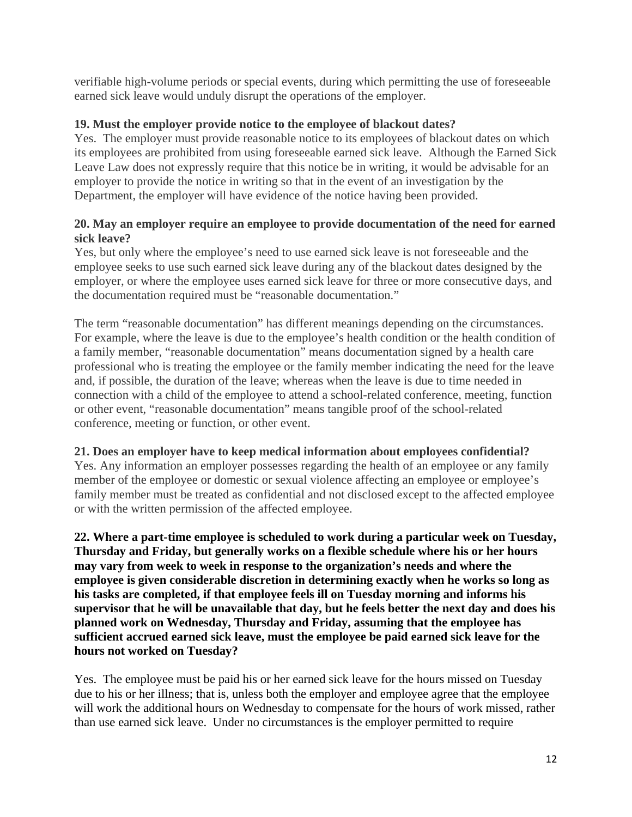verifiable high-volume periods or special events, during which permitting the use of foreseeable earned sick leave would unduly disrupt the operations of the employer.

# **19. Must the employer provide notice to the employee of blackout dates?**

Yes. The employer must provide reasonable notice to its employees of blackout dates on which its employees are prohibited from using foreseeable earned sick leave. Although the Earned Sick Leave Law does not expressly require that this notice be in writing, it would be advisable for an employer to provide the notice in writing so that in the event of an investigation by the Department, the employer will have evidence of the notice having been provided.

#### **20. May an employer require an employee to provide documentation of the need for earned sick leave?**

Yes, but only where the employee's need to use earned sick leave is not foreseeable and the employee seeks to use such earned sick leave during any of the blackout dates designed by the employer, or where the employee uses earned sick leave for three or more consecutive days, and the documentation required must be "reasonable documentation."

The term "reasonable documentation" has different meanings depending on the circumstances. For example, where the leave is due to the employee's health condition or the health condition of a family member, "reasonable documentation" means documentation signed by a health care professional who is treating the employee or the family member indicating the need for the leave and, if possible, the duration of the leave; whereas when the leave is due to time needed in connection with a child of the employee to attend a school-related conference, meeting, function or other event, "reasonable documentation" means tangible proof of the school-related conference, meeting or function, or other event.

# **21. Does an employer have to keep medical information about employees confidential?**

Yes. Any information an employer possesses regarding the health of an employee or any family member of the employee or domestic or sexual violence affecting an employee or employee's family member must be treated as confidential and not disclosed except to the affected employee or with the written permission of the affected employee.

**22. Where a part-time employee is scheduled to work during a particular week on Tuesday, Thursday and Friday, but generally works on a flexible schedule where his or her hours may vary from week to week in response to the organization's needs and where the employee is given considerable discretion in determining exactly when he works so long as his tasks are completed, if that employee feels ill on Tuesday morning and informs his supervisor that he will be unavailable that day, but he feels better the next day and does his planned work on Wednesday, Thursday and Friday, assuming that the employee has sufficient accrued earned sick leave, must the employee be paid earned sick leave for the hours not worked on Tuesday?** 

Yes. The employee must be paid his or her earned sick leave for the hours missed on Tuesday due to his or her illness; that is, unless both the employer and employee agree that the employee will work the additional hours on Wednesday to compensate for the hours of work missed, rather than use earned sick leave. Under no circumstances is the employer permitted to require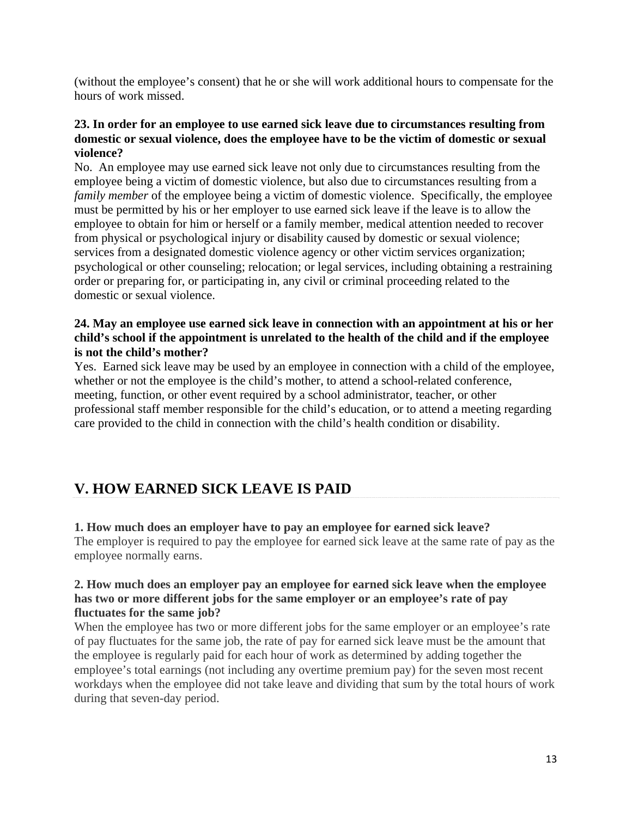(without the employee's consent) that he or she will work additional hours to compensate for the hours of work missed.

#### **23. In order for an employee to use earned sick leave due to circumstances resulting from domestic or sexual violence, does the employee have to be the victim of domestic or sexual violence?**

No. An employee may use earned sick leave not only due to circumstances resulting from the employee being a victim of domestic violence, but also due to circumstances resulting from a *family member* of the employee being a victim of domestic violence. Specifically, the employee must be permitted by his or her employer to use earned sick leave if the leave is to allow the employee to obtain for him or herself or a family member, medical attention needed to recover from physical or psychological injury or disability caused by domestic or sexual violence; services from a designated domestic violence agency or other victim services organization; psychological or other counseling; relocation; or legal services, including obtaining a restraining order or preparing for, or participating in, any civil or criminal proceeding related to the domestic or sexual violence.

#### **24. May an employee use earned sick leave in connection with an appointment at his or her child's school if the appointment is unrelated to the health of the child and if the employee is not the child's mother?**

Yes. Earned sick leave may be used by an employee in connection with a child of the employee, whether or not the employee is the child's mother, to attend a school-related conference, meeting, function, or other event required by a school administrator, teacher, or other professional staff member responsible for the child's education, or to attend a meeting regarding care provided to the child in connection with the child's health condition or disability.

# **V. HOW EARNED SICK LEAVE IS PAID**

# **1. How much does an employer have to pay an employee for earned sick leave?**

The employer is required to pay the employee for earned sick leave at the same rate of pay as the employee normally earns.

#### **2. How much does an employer pay an employee for earned sick leave when the employee has two or more different jobs for the same employer or an employee's rate of pay fluctuates for the same job?**

When the employee has two or more different jobs for the same employer or an employee's rate of pay fluctuates for the same job, the rate of pay for earned sick leave must be the amount that the employee is regularly paid for each hour of work as determined by adding together the employee's total earnings (not including any overtime premium pay) for the seven most recent workdays when the employee did not take leave and dividing that sum by the total hours of work during that seven-day period.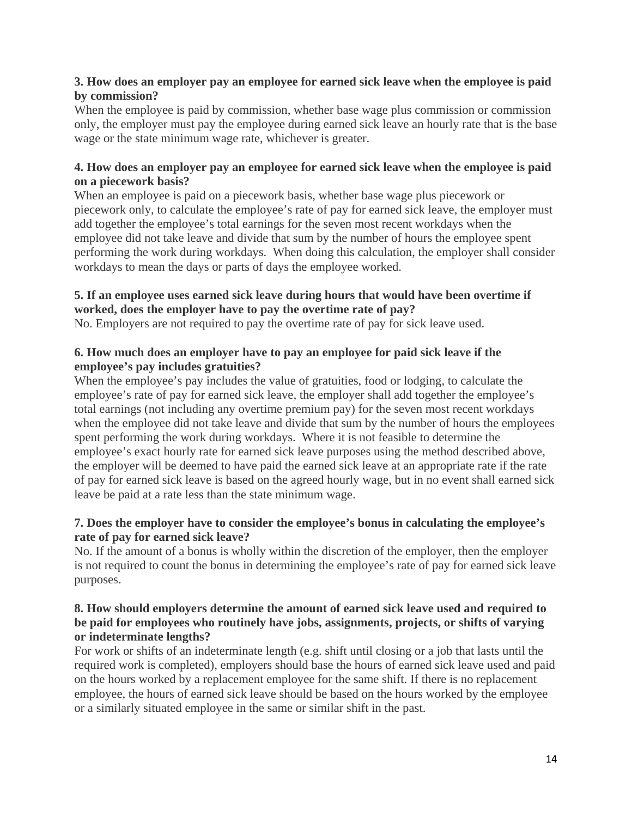# **3. How does an employer pay an employee for earned sick leave when the employee is paid by commission?**

When the employee is paid by commission, whether base wage plus commission or commission only, the employer must pay the employee during earned sick leave an hourly rate that is the base wage or the state minimum wage rate, whichever is greater.

# **4. How does an employer pay an employee for earned sick leave when the employee is paid on a piecework basis?**

When an employee is paid on a piecework basis, whether base wage plus piecework or piecework only, to calculate the employee's rate of pay for earned sick leave, the employer must add together the employee's total earnings for the seven most recent workdays when the employee did not take leave and divide that sum by the number of hours the employee spent performing the work during workdays. When doing this calculation, the employer shall consider workdays to mean the days or parts of days the employee worked.

# **5. If an employee uses earned sick leave during hours that would have been overtime if worked, does the employer have to pay the overtime rate of pay?**

No. Employers are not required to pay the overtime rate of pay for sick leave used.

# **6. How much does an employer have to pay an employee for paid sick leave if the employee's pay includes gratuities?**

When the employee's pay includes the value of gratuities, food or lodging, to calculate the employee's rate of pay for earned sick leave, the employer shall add together the employee's total earnings (not including any overtime premium pay) for the seven most recent workdays when the employee did not take leave and divide that sum by the number of hours the employees spent performing the work during workdays. Where it is not feasible to determine the employee's exact hourly rate for earned sick leave purposes using the method described above, the employer will be deemed to have paid the earned sick leave at an appropriate rate if the rate of pay for earned sick leave is based on the agreed hourly wage, but in no event shall earned sick leave be paid at a rate less than the state minimum wage.

# **7. Does the employer have to consider the employee's bonus in calculating the employee's rate of pay for earned sick leave?**

No. If the amount of a bonus is wholly within the discretion of the employer, then the employer is not required to count the bonus in determining the employee's rate of pay for earned sick leave purposes.

#### **8. How should employers determine the amount of earned sick leave used and required to be paid for employees who routinely have jobs, assignments, projects, or shifts of varying or indeterminate lengths?**

For work or shifts of an indeterminate length (e.g. shift until closing or a job that lasts until the required work is completed), employers should base the hours of earned sick leave used and paid on the hours worked by a replacement employee for the same shift. If there is no replacement employee, the hours of earned sick leave should be based on the hours worked by the employee or a similarly situated employee in the same or similar shift in the past.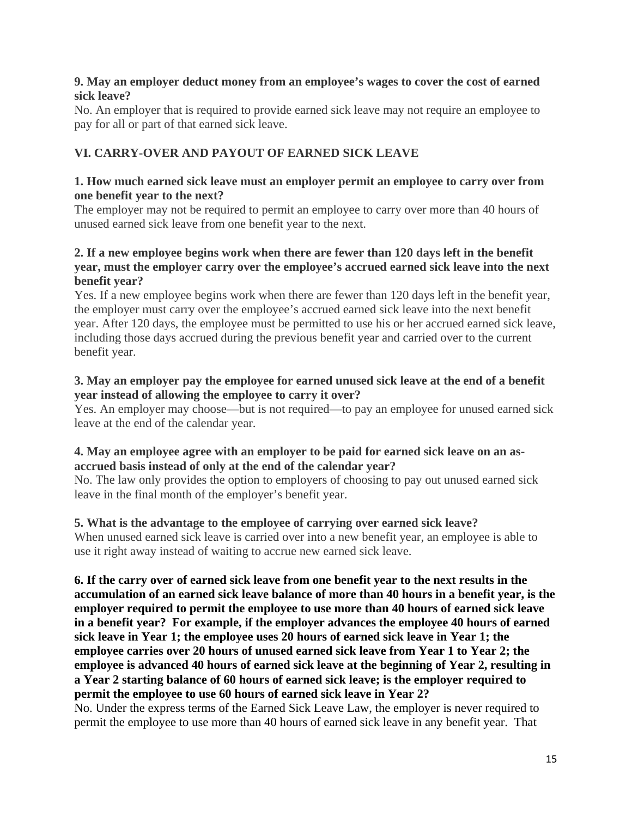#### **9. May an employer deduct money from an employee's wages to cover the cost of earned sick leave?**

No. An employer that is required to provide earned sick leave may not require an employee to pay for all or part of that earned sick leave.

# **VI. CARRY-OVER AND PAYOUT OF EARNED SICK LEAVE**

#### **1. How much earned sick leave must an employer permit an employee to carry over from one benefit year to the next?**

The employer may not be required to permit an employee to carry over more than 40 hours of unused earned sick leave from one benefit year to the next.

#### **2. If a new employee begins work when there are fewer than 120 days left in the benefit year, must the employer carry over the employee's accrued earned sick leave into the next benefit year?**

Yes. If a new employee begins work when there are fewer than 120 days left in the benefit year, the employer must carry over the employee's accrued earned sick leave into the next benefit year. After 120 days, the employee must be permitted to use his or her accrued earned sick leave, including those days accrued during the previous benefit year and carried over to the current benefit year.

# **3. May an employer pay the employee for earned unused sick leave at the end of a benefit year instead of allowing the employee to carry it over?**

Yes. An employer may choose—but is not required—to pay an employee for unused earned sick leave at the end of the calendar year.

# **4. May an employee agree with an employer to be paid for earned sick leave on an asaccrued basis instead of only at the end of the calendar year?**

No. The law only provides the option to employers of choosing to pay out unused earned sick leave in the final month of the employer's benefit year.

# **5. What is the advantage to the employee of carrying over earned sick leave?**

When unused earned sick leave is carried over into a new benefit year, an employee is able to use it right away instead of waiting to accrue new earned sick leave.

**6. If the carry over of earned sick leave from one benefit year to the next results in the accumulation of an earned sick leave balance of more than 40 hours in a benefit year, is the employer required to permit the employee to use more than 40 hours of earned sick leave in a benefit year? For example, if the employer advances the employee 40 hours of earned sick leave in Year 1; the employee uses 20 hours of earned sick leave in Year 1; the employee carries over 20 hours of unused earned sick leave from Year 1 to Year 2; the employee is advanced 40 hours of earned sick leave at the beginning of Year 2, resulting in a Year 2 starting balance of 60 hours of earned sick leave; is the employer required to permit the employee to use 60 hours of earned sick leave in Year 2?** 

No. Under the express terms of the Earned Sick Leave Law, the employer is never required to permit the employee to use more than 40 hours of earned sick leave in any benefit year. That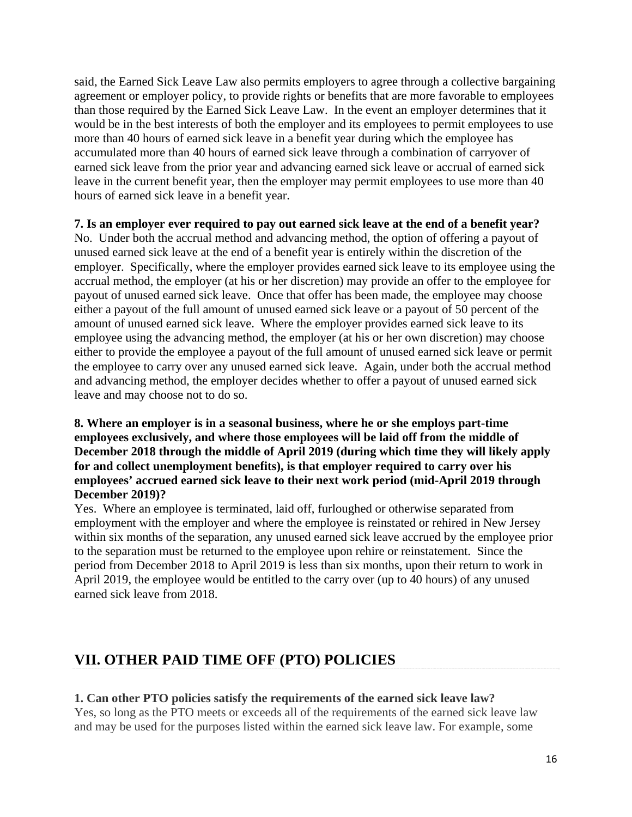said, the Earned Sick Leave Law also permits employers to agree through a collective bargaining agreement or employer policy, to provide rights or benefits that are more favorable to employees than those required by the Earned Sick Leave Law. In the event an employer determines that it would be in the best interests of both the employer and its employees to permit employees to use more than 40 hours of earned sick leave in a benefit year during which the employee has accumulated more than 40 hours of earned sick leave through a combination of carryover of earned sick leave from the prior year and advancing earned sick leave or accrual of earned sick leave in the current benefit year, then the employer may permit employees to use more than 40 hours of earned sick leave in a benefit year.

#### **7. Is an employer ever required to pay out earned sick leave at the end of a benefit year?**

No. Under both the accrual method and advancing method, the option of offering a payout of unused earned sick leave at the end of a benefit year is entirely within the discretion of the employer. Specifically, where the employer provides earned sick leave to its employee using the accrual method, the employer (at his or her discretion) may provide an offer to the employee for payout of unused earned sick leave. Once that offer has been made, the employee may choose either a payout of the full amount of unused earned sick leave or a payout of 50 percent of the amount of unused earned sick leave. Where the employer provides earned sick leave to its employee using the advancing method, the employer (at his or her own discretion) may choose either to provide the employee a payout of the full amount of unused earned sick leave or permit the employee to carry over any unused earned sick leave. Again, under both the accrual method and advancing method, the employer decides whether to offer a payout of unused earned sick leave and may choose not to do so.

#### **8. Where an employer is in a seasonal business, where he or she employs part-time employees exclusively, and where those employees will be laid off from the middle of December 2018 through the middle of April 2019 (during which time they will likely apply for and collect unemployment benefits), is that employer required to carry over his employees' accrued earned sick leave to their next work period (mid-April 2019 through December 2019)?**

Yes. Where an employee is terminated, laid off, furloughed or otherwise separated from employment with the employer and where the employee is reinstated or rehired in New Jersey within six months of the separation, any unused earned sick leave accrued by the employee prior to the separation must be returned to the employee upon rehire or reinstatement. Since the period from December 2018 to April 2019 is less than six months, upon their return to work in April 2019, the employee would be entitled to the carry over (up to 40 hours) of any unused earned sick leave from 2018.

# **VII. OTHER PAID TIME OFF (PTO) POLICIES**

# **1. Can other PTO policies satisfy the requirements of the earned sick leave law?**

Yes, so long as the PTO meets or exceeds all of the requirements of the earned sick leave law and may be used for the purposes listed within the earned sick leave law. For example, some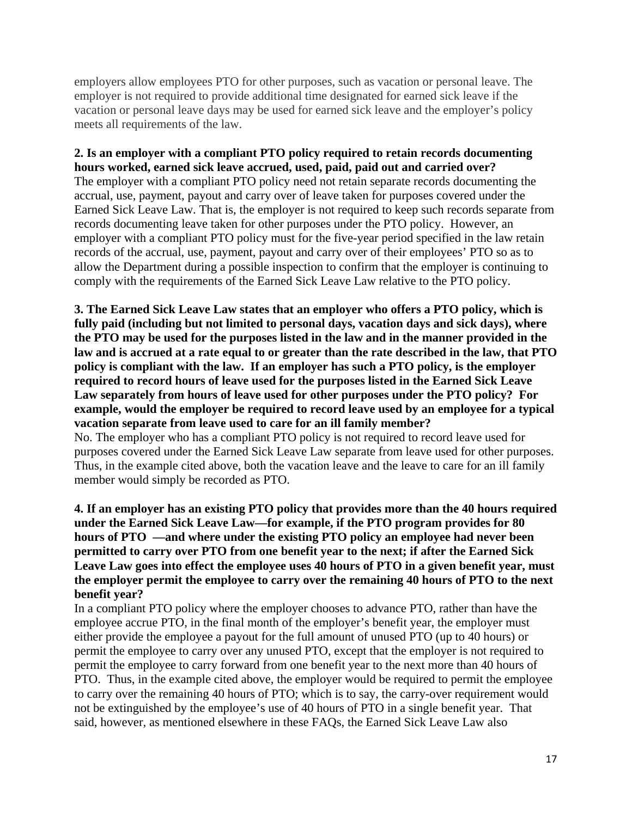employers allow employees PTO for other purposes, such as vacation or personal leave. The employer is not required to provide additional time designated for earned sick leave if the vacation or personal leave days may be used for earned sick leave and the employer's policy meets all requirements of the law.

#### **2. Is an employer with a compliant PTO policy required to retain records documenting hours worked, earned sick leave accrued, used, paid, paid out and carried over?**

The employer with a compliant PTO policy need not retain separate records documenting the accrual, use, payment, payout and carry over of leave taken for purposes covered under the Earned Sick Leave Law. That is, the employer is not required to keep such records separate from records documenting leave taken for other purposes under the PTO policy. However, an employer with a compliant PTO policy must for the five-year period specified in the law retain records of the accrual, use, payment, payout and carry over of their employees' PTO so as to allow the Department during a possible inspection to confirm that the employer is continuing to comply with the requirements of the Earned Sick Leave Law relative to the PTO policy.

**3. The Earned Sick Leave Law states that an employer who offers a PTO policy, which is fully paid (including but not limited to personal days, vacation days and sick days), where the PTO may be used for the purposes listed in the law and in the manner provided in the law and is accrued at a rate equal to or greater than the rate described in the law, that PTO policy is compliant with the law. If an employer has such a PTO policy, is the employer required to record hours of leave used for the purposes listed in the Earned Sick Leave Law separately from hours of leave used for other purposes under the PTO policy? For example, would the employer be required to record leave used by an employee for a typical vacation separate from leave used to care for an ill family member?**

No. The employer who has a compliant PTO policy is not required to record leave used for purposes covered under the Earned Sick Leave Law separate from leave used for other purposes. Thus, in the example cited above, both the vacation leave and the leave to care for an ill family member would simply be recorded as PTO.

#### **4. If an employer has an existing PTO policy that provides more than the 40 hours required under the Earned Sick Leave Law—for example, if the PTO program provides for 80 hours of PTO —and where under the existing PTO policy an employee had never been permitted to carry over PTO from one benefit year to the next; if after the Earned Sick Leave Law goes into effect the employee uses 40 hours of PTO in a given benefit year, must the employer permit the employee to carry over the remaining 40 hours of PTO to the next benefit year?**

In a compliant PTO policy where the employer chooses to advance PTO, rather than have the employee accrue PTO, in the final month of the employer's benefit year, the employer must either provide the employee a payout for the full amount of unused PTO (up to 40 hours) or permit the employee to carry over any unused PTO, except that the employer is not required to permit the employee to carry forward from one benefit year to the next more than 40 hours of PTO. Thus, in the example cited above, the employer would be required to permit the employee to carry over the remaining 40 hours of PTO; which is to say, the carry-over requirement would not be extinguished by the employee's use of 40 hours of PTO in a single benefit year. That said, however, as mentioned elsewhere in these FAQs, the Earned Sick Leave Law also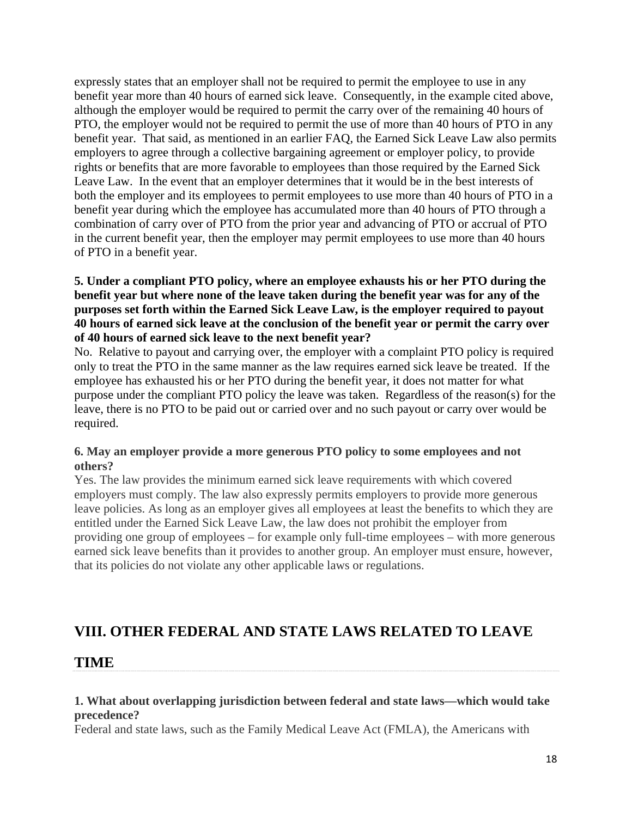expressly states that an employer shall not be required to permit the employee to use in any benefit year more than 40 hours of earned sick leave. Consequently, in the example cited above, although the employer would be required to permit the carry over of the remaining 40 hours of PTO, the employer would not be required to permit the use of more than 40 hours of PTO in any benefit year. That said, as mentioned in an earlier FAQ, the Earned Sick Leave Law also permits employers to agree through a collective bargaining agreement or employer policy, to provide rights or benefits that are more favorable to employees than those required by the Earned Sick Leave Law. In the event that an employer determines that it would be in the best interests of both the employer and its employees to permit employees to use more than 40 hours of PTO in a benefit year during which the employee has accumulated more than 40 hours of PTO through a combination of carry over of PTO from the prior year and advancing of PTO or accrual of PTO in the current benefit year, then the employer may permit employees to use more than 40 hours of PTO in a benefit year.

# **5. Under a compliant PTO policy, where an employee exhausts his or her PTO during the benefit year but where none of the leave taken during the benefit year was for any of the purposes set forth within the Earned Sick Leave Law, is the employer required to payout 40 hours of earned sick leave at the conclusion of the benefit year or permit the carry over of 40 hours of earned sick leave to the next benefit year?**

No. Relative to payout and carrying over, the employer with a complaint PTO policy is required only to treat the PTO in the same manner as the law requires earned sick leave be treated. If the employee has exhausted his or her PTO during the benefit year, it does not matter for what purpose under the compliant PTO policy the leave was taken. Regardless of the reason(s) for the leave, there is no PTO to be paid out or carried over and no such payout or carry over would be required.

#### **6. May an employer provide a more generous PTO policy to some employees and not others?**

Yes. The law provides the minimum earned sick leave requirements with which covered employers must comply. The law also expressly permits employers to provide more generous leave policies. As long as an employer gives all employees at least the benefits to which they are entitled under the Earned Sick Leave Law, the law does not prohibit the employer from providing one group of employees – for example only full-time employees – with more generous earned sick leave benefits than it provides to another group. An employer must ensure, however, that its policies do not violate any other applicable laws or regulations.

# **VIII. OTHER FEDERAL AND STATE LAWS RELATED TO LEAVE**

# **TIME**

# **1. What about overlapping jurisdiction between federal and state laws—which would take precedence?**

Federal and state laws, such as the Family Medical Leave Act (FMLA), the Americans with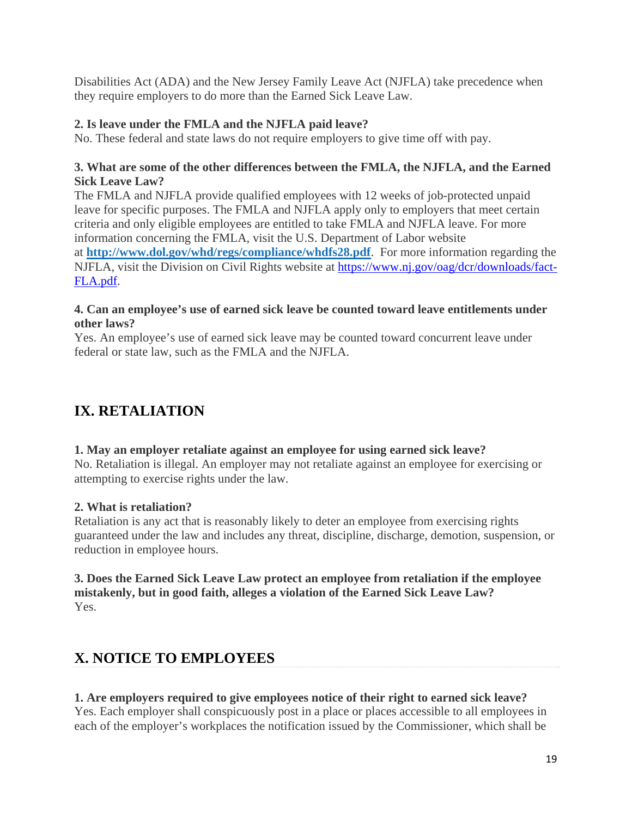Disabilities Act (ADA) and the New Jersey Family Leave Act (NJFLA) take precedence when they require employers to do more than the Earned Sick Leave Law.

# **2. Is leave under the FMLA and the NJFLA paid leave?**

No. These federal and state laws do not require employers to give time off with pay.

# **3. What are some of the other differences between the FMLA, the NJFLA, and the Earned Sick Leave Law?**

The FMLA and NJFLA provide qualified employees with 12 weeks of job-protected unpaid leave for specific purposes. The FMLA and NJFLA apply only to employers that meet certain criteria and only eligible employees are entitled to take FMLA and NJFLA leave. For more information concerning the FMLA, visit the U.S. Department of Labor website at **http://www.dol.gov/whd/regs/compliance/whdfs28.pdf**. For more information regarding the NJFLA, visit the Division on Civil Rights website at https://www.nj.gov/oag/dcr/downloads/fact-FLA.pdf.

# **4. Can an employee's use of earned sick leave be counted toward leave entitlements under other laws?**

Yes. An employee's use of earned sick leave may be counted toward concurrent leave under federal or state law, such as the FMLA and the NJFLA.

# **IX. RETALIATION**

# **1. May an employer retaliate against an employee for using earned sick leave?**

No. Retaliation is illegal. An employer may not retaliate against an employee for exercising or attempting to exercise rights under the law.

# **2. What is retaliation?**

Retaliation is any act that is reasonably likely to deter an employee from exercising rights guaranteed under the law and includes any threat, discipline, discharge, demotion, suspension, or reduction in employee hours.

# **3. Does the Earned Sick Leave Law protect an employee from retaliation if the employee mistakenly, but in good faith, alleges a violation of the Earned Sick Leave Law?** Yes.

# **X. NOTICE TO EMPLOYEES**

# **1. Are employers required to give employees notice of their right to earned sick leave?**

Yes. Each employer shall conspicuously post in a place or places accessible to all employees in each of the employer's workplaces the notification issued by the Commissioner, which shall be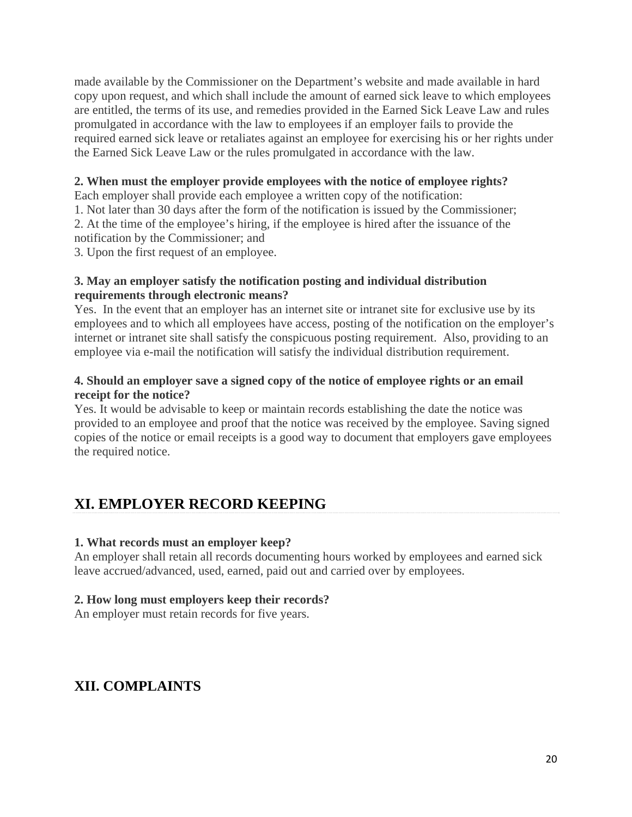made available by the Commissioner on the Department's website and made available in hard copy upon request, and which shall include the amount of earned sick leave to which employees are entitled, the terms of its use, and remedies provided in the Earned Sick Leave Law and rules promulgated in accordance with the law to employees if an employer fails to provide the required earned sick leave or retaliates against an employee for exercising his or her rights under the Earned Sick Leave Law or the rules promulgated in accordance with the law.

#### **2. When must the employer provide employees with the notice of employee rights?**

Each employer shall provide each employee a written copy of the notification:

1. Not later than 30 days after the form of the notification is issued by the Commissioner;

2. At the time of the employee's hiring, if the employee is hired after the issuance of the notification by the Commissioner; and

3. Upon the first request of an employee.

#### **3. May an employer satisfy the notification posting and individual distribution requirements through electronic means?**

Yes. In the event that an employer has an internet site or intranet site for exclusive use by its employees and to which all employees have access, posting of the notification on the employer's internet or intranet site shall satisfy the conspicuous posting requirement. Also, providing to an employee via e-mail the notification will satisfy the individual distribution requirement.

# **4. Should an employer save a signed copy of the notice of employee rights or an email receipt for the notice?**

Yes. It would be advisable to keep or maintain records establishing the date the notice was provided to an employee and proof that the notice was received by the employee. Saving signed copies of the notice or email receipts is a good way to document that employers gave employees the required notice.

# **XI. EMPLOYER RECORD KEEPING**

#### **1. What records must an employer keep?**

An employer shall retain all records documenting hours worked by employees and earned sick leave accrued/advanced, used, earned, paid out and carried over by employees.

#### **2. How long must employers keep their records?**

An employer must retain records for five years.

# **XII. COMPLAINTS**